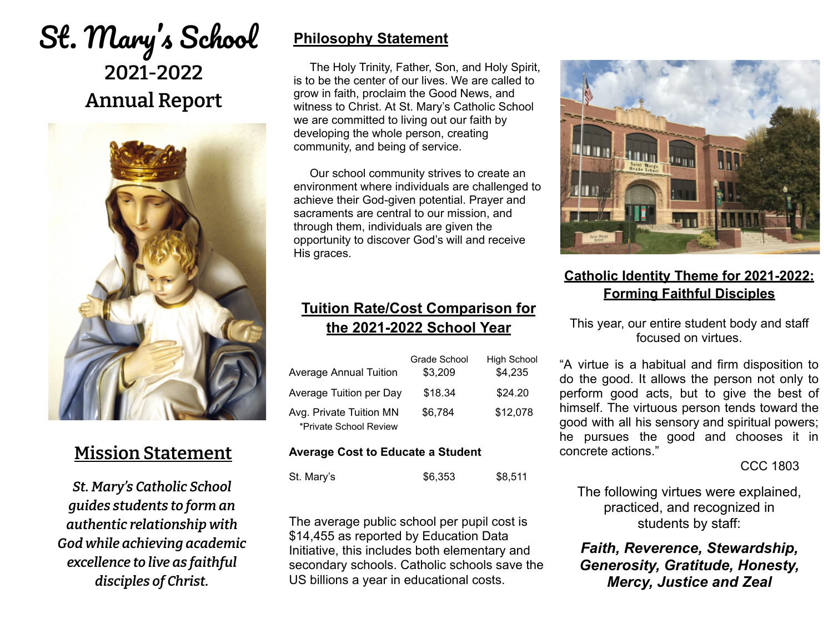# St. Mary's School **2021-2022 Annual Report**



## **Mission Statement**

*St. Mary's Catholic School guides students to form an authentic relationship with God while achieving academic excellence to live as faithful disciples of Christ.*

### **Philosophy Statement**

The Holy Trinity, Father, Son, and Holy Spirit, is to be the center of our lives. We are called to grow in faith, proclaim the Good News, and witness to Christ. At St. Mary's Catholic School we are committed to living out our faith by developing the whole person, creating community, and being of service.

Our school community strives to create an environment where individuals are challenged to achieve their God-given potential. Prayer and sacraments are central to our mission, and through them, individuals are given the opportunity to discover God's will and receive His graces.

#### **Tuition Rate/Cost Comparison for the 2021-2022 School Year**

|                                                   | Grade School | <b>High School</b> |
|---------------------------------------------------|--------------|--------------------|
| <b>Average Annual Tuition</b>                     | \$3,209      | \$4,235            |
| Average Tuition per Day                           | \$18.34      | \$24.20            |
| Avg. Private Tuition MN<br>*Private School Review | \$6,784      | \$12,078           |

#### **Average Cost to Educate a Student**

| St. Mary's | \$6,353 | \$8,511 |
|------------|---------|---------|
|            |         |         |

The average public school per pupil cost is \$14,455 as reported by Education Data Initiative, this includes both elementary and secondary schools. Catholic schools save the US billions a year in educational costs.



#### **Catholic Identity Theme for 2021-2022: Forming Faithful Disciples**

This year, our entire student body and staff focused on virtues.

"A virtue is a habitual and firm disposition to do the good. It allows the person not only to perform good acts, but to give the best of himself. The virtuous person tends toward the good with all his sensory and spiritual powers; he pursues the good and chooses it in concrete actions."

CCC 1803

The following virtues were explained, practiced, and recognized in students by staff:

*Faith, Reverence, Stewardship, Generosity, Gratitude, Honesty, Mercy, Justice and Zeal*